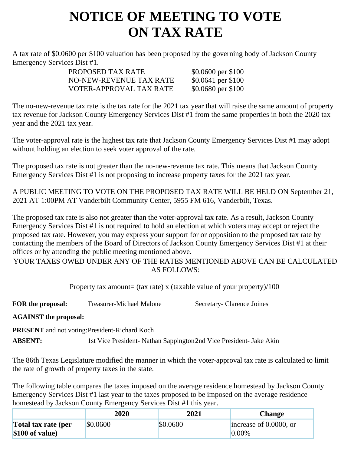## **NOTICE OF MEETING TO VOTE ON TAX RATE**

A tax rate of \$0.0600 per \$100 valuation has been proposed by the governing body of Jackson County Emergency Services Dist #1.

| \$0.0600 per \$100 |
|--------------------|
| \$0.0641 per \$100 |
| \$0.0680 per \$100 |
|                    |

The no-new-revenue tax rate is the tax rate for the 2021 tax year that will raise the same amount of property tax revenue for Jackson County Emergency Services Dist #1 from the same properties in both the 2020 tax year and the 2021 tax year.

The voter-approval rate is the highest tax rate that Jackson County Emergency Services Dist #1 may adopt without holding an election to seek voter approval of the rate.

The proposed tax rate is not greater than the no-new-revenue tax rate. This means that Jackson County Emergency Services Dist #1 is not proposing to increase property taxes for the 2021 tax year.

A PUBLIC MEETING TO VOTE ON THE PROPOSED TAX RATE WILL BE HELD ON September 21, 2021 AT 1:00PM AT Vanderbilt Community Center, 5955 FM 616, Vanderbilt, Texas.

The proposed tax rate is also not greater than the voter-approval tax rate. As a result, Jackson County Emergency Services Dist #1 is not required to hold an election at which voters may accept or reject the proposed tax rate. However, you may express your support for or opposition to the proposed tax rate by contacting the members of the Board of Directors of Jackson County Emergency Services Dist #1 at their offices or by attending the public meeting mentioned above.

YOUR TAXES OWED UNDER ANY OF THE RATES MENTIONED ABOVE CAN BE CALCULATED AS FOLLOWS:

Property tax amount= (tax rate) x (taxable value of your property)/100

**FOR the proposal:** Treasurer-Michael Malone Secretary- Clarence Joines

**AGAINST the proposal:**

**PRESENT** and not voting:President-Richard Koch

**ABSENT:** 1st Vice President- Nathan Sappington2nd Vice President- Jake Akin

The 86th Texas Legislature modified the manner in which the voter-approval tax rate is calculated to limit the rate of growth of property taxes in the state.

The following table compares the taxes imposed on the average residence homestead by Jackson County Emergency Services Dist #1 last year to the taxes proposed to be imposed on the average residence homestead by Jackson County Emergency Services Dist #1 this year.

|                                         | 2020     | 2021     | Change                             |
|-----------------------------------------|----------|----------|------------------------------------|
| Total tax rate (per<br>$$100$ of value) | \$0.0600 | \$0.0600 | increase of 0.0000, or<br>$0.00\%$ |